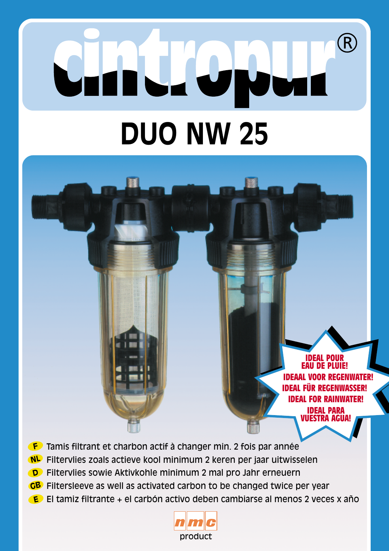# $\overline{\mathsf{R}}$ IN  $\overline{1}$ **DUO NW 25**

**IDEAL POUR EAU DE PLUIE! IDEAAL IDEAL FÜR REGENWASSER! IDEAL FOR RAINWATER! IDEAL PARA VUESTRA AGUA!**

- Tamis filtrant et charbon actif à changer min. 2 fois par année
- Filtervlies zoals actieve kool minimum 2 keren per jaar uitwisselen
- Filtervlies sowie Aktivkohle minimum 2 mal pro Jahr erneuern
- GB Filtersleeve as well as activated carbon to be changed twice per year
- El tamiz filtrante + el carbón activo deben cambiarse al menos 2 veces x año